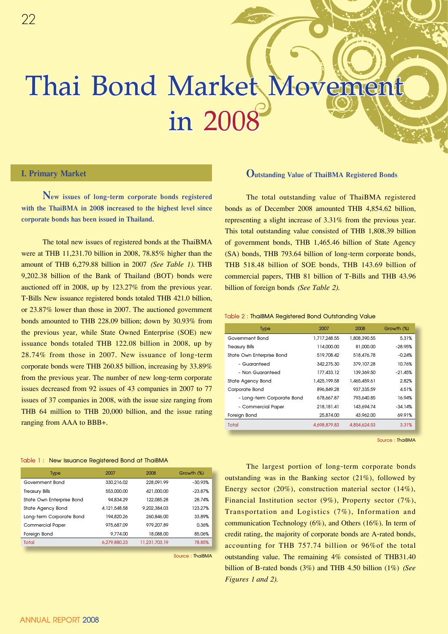# **Thai Bond Market Movement in 2008**

# **I. Primary Market**

**New issues of long-term corporate bonds registered with the ThaiBMA in 2008 increased to the highest level since corporate bonds has been issued in Thailand.**

The total new issues of registered bonds at the ThaiBMA were at THB 11,231.70 billion in 2008, 78.85% higher than the amount of THB 6,279.88 billion in 2007 *(See Table 1).* THB 9,202.38 billion of the Bank of Thailand (BOT) bonds were auctioned off in 2008, up by 123.27% from the previous year. T-Bills New issuance registered bonds totaled THB 421.0 billion, or 23.87% lower than those in 2007. The auctioned government bonds amounted to THB 228.09 billion; down by 30.93% from the previous year, while State Owned Enterprise (SOE) new issuance bonds totaled THB 122.08 billion in 2008, up by 28.74% from those in 2007. New issuance of long-term corporate bonds were THB 260.85 billion, increasing by 33.89% from the previous year. The number of new long-term corporate issues decreased from 92 issues of 43 companies in 2007 to 77 issues of 37 companies in 2008, with the issue size ranging from THB 64 million to THB 20,000 billion, and the issue rating ranging from AAA to BBB+.

#### **Table 1 : New Issuance Registered Bond at ThaiBMA**

| <b>Type</b>               | 2007         | 2008          | Growth (%) |
|---------------------------|--------------|---------------|------------|
| Government Bond           | 330.216.02   | 228.091.99    | $-30.93%$  |
| <b>Treasury Bills</b>     | 553,000,00   | 421,000.00    | $-23.87%$  |
| State Own Enterprise Bond | 94.834.29    | 122.085.28    | 28.74%     |
| State Agency Bond         | 4.121.548.58 | 9.202.384.03  | 123.27%    |
| Long-term Corporate Bond  | 194.820.26   | 260.846.00    | 33.89%     |
| <b>Commercial Paper</b>   | 975.687.09   | 979.207.89    | 0.36%      |
| Foreign Bond              | 9.774.00     | 18,088.00     | 85.06%     |
| <b>Total</b>              | 6.279.880.23 | 11.231.703.19 | 78.85%     |
|                           |              |               |            |

**Source : ThaiBMA**

## **Outstanding Value of ThaiBMA Registered Bonds**

The total outstanding value of ThaiBMA registered bonds as of December 2008 amounted THB 4,854.62 billion, representing a slight increase of 3.31% from the previous year. This total outstanding value consisted of THB 1,808.39 billion of government bonds, THB 1,465.46 billion of State Agency (SA) bonds, THB 793.64 billion of long-term corporate bonds, THB 518.48 billion of SOE bonds, THB 143.69 billion of commercial papers, THB 81 billion of T-Bills and THB 43.96 billion of foreign bonds *(See Table 2).* 

#### **Table 2 : ThaiBMA Registered Bond Outstanding Value**

| <b>Type</b>                | 2007         | 2008         | Growth (%) |
|----------------------------|--------------|--------------|------------|
| Government Bond            | 1.717.248.55 | 1.808.390.55 | 5.31%      |
| <b>Treasury Bills</b>      | 114.000.00   | 81,000,00    | $-28.95%$  |
| State Own Enterprise Bond  | 519,708.42   | 518,476.78   | $-0.24%$   |
| - Guaranteed               | 342.275.30   | 379, 107.28  | 10.76%     |
| - Non Guaranteed           | 177.433.12   | 139.369.50   | $-21.45%$  |
| State Agency Bond          | 1.425.199.58 | 1.465.459.61 | 2.82%      |
| Corporate Bond             | 896.849.28   | 937.335.59   | 4.51%      |
| - Long-term Corporate Bond | 678.667.87   | 793.640.85   | 16.94%     |
| - Commercial Paper         | 218,181.41   | 143.694.74   | $-34.14%$  |
| Foreign Bond               | 25,874.00    | 43.962.00    | 69.91%     |
| Total                      | 4.698.879.83 | 4,854,624.53 | 3.31%      |

**Source : ThaiBMA**

The largest portion of long-term corporate bonds outstanding was in the Banking sector (21%), followed by Energy sector (20%), construction material sector (14%), Financial Institution sector (9%), Property sector (7%), Transportation and Logistics (7%), Information and communication Technology (6%), and Others (16%). In term of credit rating, the majority of corporate bonds are A-rated bonds, accounting for THB 757.74 billion or 96%of the total outstanding value. The remaining 4% consisted of THB31.40 billion of B-rated bonds (3%) and THB 4.50 billion (1%) *(See Figures 1 and 2).*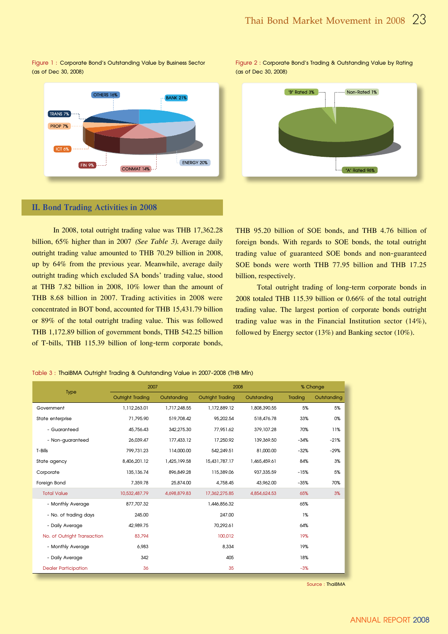# OTHERS 16% **BANK 21%** TRANS 7% **PROP 7%**  $ICT<sub>6%</sub>$ ENERGY 20% FIN 9% ------**CONMAT 14% ---**

# **Figure 1 : Corporate Bond's Outstanding Value by Business Sector**

# **II. Bond Trading Activities in 2008**

In 2008, total outright trading value was THB 17,362.28 billion, 65% higher than in 2007 *(See Table 3).* Average daily outright trading value amounted to THB 70.29 billion in 2008, up by 64% from the previous year. Meanwhile, average daily outright trading which excluded SA bonds' trading value, stood at THB 7.82 billion in 2008, 10% lower than the amount of THB 8.68 billion in 2007. Trading activities in 2008 were concentrated in BOT bond, accounted for THB 15,431.79 billion or 89% of the total outright trading value. This was followed THB 1,172.89 billion of government bonds, THB 542.25 billion of T-bills, THB 115.39 billion of long-term corporate bonds, **(as of Dec 30, 2008) Figure 2 : Corporate Bond's Trading & Outstanding Value by Rating (as of Dec 30, 2008)**



THB 95.20 billion of SOE bonds, and THB 4.76 billion of foreign bonds. With regards to SOE bonds, the total outright trading value of guaranteed SOE bonds and non-guaranteed SOE bonds were worth THB 77.95 billion and THB 17.25 billion, respectively.

Total outright trading of long-term corporate bonds in 2008 totaled THB 115.39 billion or 0.66% of the total outright trading value. The largest portion of corporate bonds outright trading value was in the Financial Institution sector (14%), followed by Energy sector (13%) and Banking sector (10%).

**Table 3 : ThaiBMA Outright Trading & Outstanding Value in 2007-2008 (THB Mln)**

|                             | 2007                    |              | 2008             |              | % Change |             |
|-----------------------------|-------------------------|--------------|------------------|--------------|----------|-------------|
| <b>Type</b>                 | <b>Outright Trading</b> | Outstanding  | Outright Trading | Outstanding  | Trading  | Outstanding |
| Government                  | 1,112,263.01            | 1.717.248.55 | 1.172.889.12     | 1.808.390.55 | 5%       | 5%          |
| State enterprise            | 71,795.90               | 519,708.42   | 95.202.54        | 518,476.78   | 33%      | 0%          |
| - Guaranteed                | 45.756.43               | 342.275.30   | 77.951.62        | 379,107.28   | 70%      | 11%         |
| - Non-guaranteed            | 26.039.47               | 177.433.12   | 17.250.92        | 139,369.50   | $-34%$   | $-21%$      |
| T-Bills                     | 799,731.23              | 114,000.00   | 542.249.51       | 81,000.00    | $-32%$   | $-29%$      |
| State agency                | 8.406.201.12            | 1.425.199.58 | 15.431.787.17    | 1,465,459.61 | 84%      | 3%          |
| Corporate                   | 135.136.74              | 896.849.28   | 115,389.06       | 937.335.59   | $-15%$   | 5%          |
| Foreign Bond                | 7.359.78                | 25,874.00    | 4.758.45         | 43.962.00    | $-35%$   | 70%         |
| <b>Total Value</b>          | 10.532.487.79           | 4.698.879.83 | 17.362.275.85    | 4.854.624.53 | 65%      | 3%          |
| - Monthly Average           | 877.707.32              |              | 1.446.856.32     |              | 65%      |             |
| - No. of trading days       | 245.00                  |              | 247.00           |              | 1%       |             |
| - Daily Average             | 42.989.75               |              | 70,292.61        |              | 64%      |             |
| No. of Outright Transaction | 83.794                  |              | 100.012          |              | 19%      |             |
| - Monthly Average           | 6.983                   |              | 8,334            |              | 19%      |             |
| - Daily Average             | 342                     |              | 405              |              | 18%      |             |
| <b>Dealer Participation</b> | 36                      |              | 35               |              | $-3%$    |             |

**Source : ThaiBMA**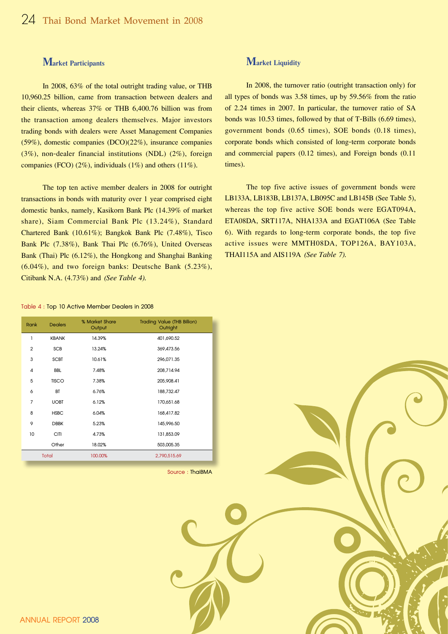# **Market Participants**

In 2008, 63% of the total outright trading value, or THB 10,960.25 billion, came from transaction between dealers and their clients, whereas 37% or THB 6,400.76 billion was from the transaction among dealers themselves. Major investors trading bonds with dealers were Asset Management Companies (59%), domestic companies (DCO)(22%), insurance companies (3%), non-dealer financial institutions (NDL) (2%), foreign companies (FCO) (2%), individuals (1%) and others (11%).

The top ten active member dealers in 2008 for outright transactions in bonds with maturity over 1 year comprised eight domestic banks, namely, Kasikorn Bank Plc (14.39% of market share), Siam Commercial Bank Plc (13.24%), Standard Chartered Bank (10.61%); Bangkok Bank Plc (7.48%), Tisco Bank Plc (7.38%), Bank Thai Plc (6.76%), United Overseas Bank (Thai) Plc (6.12%), the Hongkong and Shanghai Banking (6.04%), and two foreign banks: Deutsche Bank (5.23%), Citibank N.A. (4.73%) and *(See Table 4).*

# **Market Liquidity**

In 2008, the turnover ratio (outright transaction only) for all types of bonds was 3.58 times, up by 59.56% from the ratio of 2.24 times in 2007. In particular, the turnover ratio of SA bonds was 10.53 times, followed by that of T-Bills (6.69 times), government bonds (0.65 times), SOE bonds (0.18 times), corporate bonds which consisted of long-term corporate bonds and commercial papers (0.12 times), and Foreign bonds (0.11 times).

The top five active issues of government bonds were LB133A, LB183B, LB137A, LB095C and LB145B (See Table 5), whereas the top five active SOE bonds were EGAT094A, ETA08DA, SRT117A, NHA133A and EGAT106A (See Table 6). With regards to long-term corporate bonds, the top five active issues were MMTH08DA, TOP126A, BAY103A, THAI115A and AIS119A *(See Table 7).*

#### **Table 4 : Top 10 Active Member Dealers in 2008**

| Rank           | <b>Dealers</b> | % Market Share<br>Output | <b>Trading Value (THB Billion)</b><br>Outright |
|----------------|----------------|--------------------------|------------------------------------------------|
| 1              | <b>KBANK</b>   | 14.39%                   | 401,690.52                                     |
| $\overline{2}$ | <b>SCB</b>     | 13.24%                   | 369,473.56                                     |
| 3              | <b>SCBT</b>    | 10.61%                   | 296,071.35                                     |
| 4              | <b>BBL</b>     | 7.48%                    | 208.714.94                                     |
| 5              | <b>TISCO</b>   | 7.38%                    | 205,908.41                                     |
| 6              | BT             | 6.76%                    | 188,732.47                                     |
| $\overline{7}$ | <b>UOBT</b>    | 6.12%                    | 170,651.68                                     |
| 8              | <b>HSBC</b>    | 6.04%                    | 168,417.82                                     |
| 9              | <b>DBBK</b>    | 5.23%                    | 145,996.50                                     |
| 10             | <b>CITI</b>    | 4.73%                    | 131,853.09                                     |
|                | Other          | 18.02%                   | 503,005.35                                     |
|                | <b>Total</b>   | 100.00%                  | 2,790,515.69                                   |

**Source : ThaiBMA**

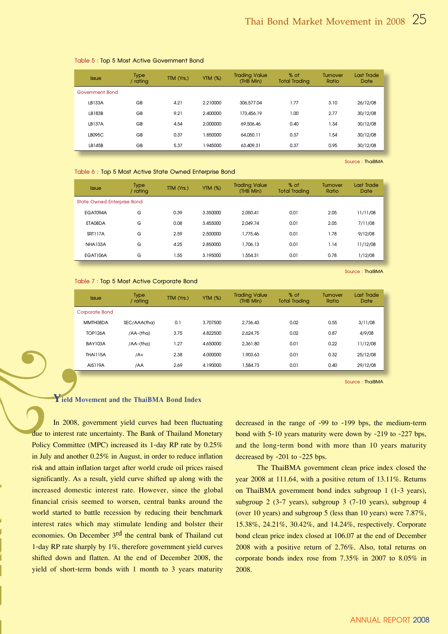| <b>Issue</b>    | <b>Type</b><br>/ rating | TTM (Yrs.) | <b>YTM (%)</b> | <b>Trading Value</b><br>(THB Min) | % of<br><b>Total Trading</b> | <b>Turnover</b><br>Ratio | Last Trade<br>Date |
|-----------------|-------------------------|------------|----------------|-----------------------------------|------------------------------|--------------------------|--------------------|
| Government Bond |                         |            |                |                                   |                              |                          |                    |
| <b>IB133A</b>   | GB                      | 4.21       | 2.210000       | 306.577.04                        | 1.77                         | 3.10                     | 26/12/08           |
| IB183B          | GB                      | 9.21       | 2.400000       | 173.456.19                        | 1.00                         | 2.77                     | 30/12/08           |
| LB137A          | GB                      | 4.54       | 2.000000       | 69.506.46                         | 0.40                         | 1.34                     | 30/12/08           |
| IB095C          | GB                      | 0.37       | 1.850000       | 64.050.11                         | 0.37                         | 1.54                     | 30/12/08           |
| LB145B          | GB                      | 5.37       | 1.945000       | 63,409.31                         | 0.37                         | 0.95                     | 30/12/08           |

#### **Table 5 : Top 5 Most Active Government Bond**

**Source : ThaiBMA**

**Source : ThaiBMA**

#### **Table 6 : Top 5 Most Active State Owned Enterprise Bond**

| <b>Issue</b>                | <b>Type</b><br>/ rating | TTM (Yrs.) | <b>YTM (%)</b> | <b>Trading Value</b><br>(THB Min) | % of<br><b>Total Trading</b> | <b>Turnover</b><br>Ratio | Last Trade<br>Date |
|-----------------------------|-------------------------|------------|----------------|-----------------------------------|------------------------------|--------------------------|--------------------|
| State Owned Enterprise Bond |                         |            |                |                                   |                              |                          |                    |
| FGAT094A                    | G                       | 0.39       | 3.350000       | 2.050.41                          | 0.01                         | 2.05                     | 11/11/08           |
| FTA08DA                     | G                       | 0.08       | 3.455000       | 2.049.74                          | 0.01                         | 2.05                     | 7/11/08            |
| <b>SRT117A</b>              | G                       | 2.59       | 2.500000       | 1.775.46                          | 0.01                         | 1.78                     | 9/12/08            |
| <b>NHA133A</b>              | G                       | 4.25       | 2.850000       | 1.706.13                          | 0.01                         | 1.14                     | 11/12/08           |
| EGAT106A                    | G                       | 1.55       | 3.195000       | 1.554.31                          | 0.01                         | 0.78                     | 1/12/08            |

**Table 7 : Top 5 Most Active Corporate Bond**

| <b>Issue</b>    | <b>Type</b><br>/ rating | TTM (Yrs.) | <b>YTM (%)</b> | <b>Trading Value</b><br>(THB Min) | % of<br><b>Total Trading</b> | <b>Turnover</b><br>Ratio | Last Trade<br>Date |
|-----------------|-------------------------|------------|----------------|-----------------------------------|------------------------------|--------------------------|--------------------|
| Corporate Bond  |                         |            |                |                                   |                              |                          |                    |
| MMTH08DA        | SEC/AAA(tha)            | 0.1        | 3.707500       | 2.736.43                          | 0.02                         | 0.55                     | 3/11/08            |
| <b>TOP126A</b>  | $/AA$ - $(\text{tha})$  | 3.75       | 4.822500       | 2.624.75                          | 0.02                         | 0.87                     | 4/9/08             |
| <b>BAY103A</b>  | /AA-(tha)               | 1.27       | 4.650000       | 2.361.80                          | 0.01                         | 0.22                     | 11/12/08           |
| <b>THAI115A</b> | /A+                     | 2.38       | 4.000000       | 1.903.63                          | 0.01                         | 0.32                     | 25/12/08           |
| AIS119A         | /AA                     | 2.69       | 4.190000       | .584.73                           | 0.01                         | 0.40                     | 29/12/08           |

**Source : ThaiBMA**

# **Yield Movement and the ThaiBMA Bond Index**

In 2008, government yield curves had been fluctuating due to interest rate uncertainty. The Bank of Thailand Monetary Policy Committee (MPC) increased its 1-day RP rate by 0.25% in July and another 0.25% in August, in order to reduce inflation risk and attain inflation target after world crude oil prices raised significantly. As a result, yield curve shifted up along with the increased domestic interest rate. However, since the global financial crisis seemed to worsen, central banks around the world started to battle recession by reducing their benchmark interest rates which may stimulate lending and bolster their economies. On December 3<sup>rd</sup> the central bank of Thailand cut 1-day RP rate sharply by 1%, therefore government yield curves shifted down and flatten. At the end of December 2008, the yield of short-term bonds with 1 month to 3 years maturity

decreased in the range of -99 to -199 bps, the medium-term bond with 5-10 years maturity were down by -219 to -227 bps, and the long-term bond with more than 10 years maturity decreased by -201 to -225 bps.

The ThaiBMA government clean price index closed the year 2008 at 111.64, with a positive return of 13.11%. Returns on ThaiBMA government bond index subgroup 1 (1-3 years), subgroup 2 (3-7 years), subgroup 3 (7-10 years), subgroup 4 (over 10 years) and subgroup 5 (less than 10 years) were 7.87%, 15.38%, 24.21%, 30.42%, and 14.24%, respectively. Corporate bond clean price index closed at 106.07 at the end of December 2008 with a positive return of 2.76%. Also, total returns on corporate bonds index rose from 7.35% in 2007 to 8.05% in 2008.